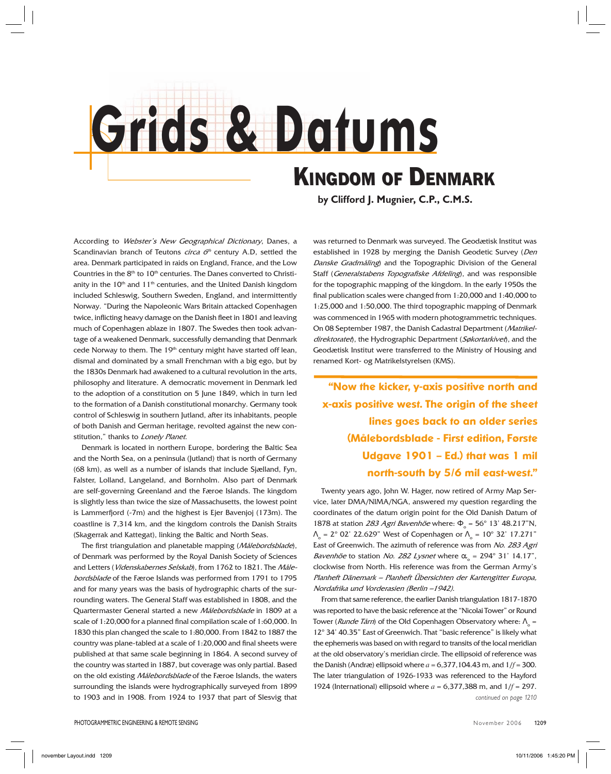## **Grids & Datums** *KINGDOM OF DENMARK*

**by Clifford J. Mugnier, C.P., C.M.S.**

According to Webster's New Geographical Dictionary, Danes, a Scandinavian branch of Teutons *circa*  $6<sup>th</sup>$  century A.D, settled the area. Denmark participated in raids on England, France, and the Low Countries in the 8<sup>th</sup> to 10<sup>th</sup> centuries. The Danes converted to Christianity in the  $10<sup>th</sup>$  and  $11<sup>th</sup>$  centuries, and the United Danish kingdom included Schleswig, Southern Sweden, England, and intermittently Norway. "During the Napoleonic Wars Britain attacked Copenhagen twice, inflicting heavy damage on the Danish fleet in 1801 and leaving much of Copenhagen ablaze in 1807. The Swedes then took advantage of a weakened Denmark, successfully demanding that Denmark cede Norway to them. The 19<sup>th</sup> century might have started off lean, dismal and dominated by a small Frenchman with a big ego, but by the 1830s Denmark had awakened to a cultural revolution in the arts, philosophy and literature. A democratic movement in Denmark led to the adoption of a constitution on 5 June 1849, which in turn led to the formation of a Danish constitutional monarchy. Germany took control of Schleswig in southern Jutland, after its inhabitants, people of both Danish and German heritage, revolted against the new constitution," thanks to Lonely Planet.

Denmark is located in northern Europe, bordering the Baltic Sea and the North Sea, on a peninsula (Jutland) that is north of Germany (68 km), as well as a number of islands that include Sjælland, Fyn, Falster, Lolland, Langeland, and Bornholm. Also part of Denmark are self-governing Greenland and the Færoe Islands. The kingdom is slightly less than twice the size of Massachusetts, the lowest point is Lammerfjord (-7m) and the highest is Ejer Bavenjoj (173m). The coastline is 7,314 km, and the kingdom controls the Danish Straits (Skagerrak and Kattegat), linking the Baltic and North Seas.

The first triangulation and planetable mapping (Målebordsblade), of Denmark was performed by the Royal Danish Society of Sciences and Letters (Videnskabernes Selskab), from 1762 to 1821. The Målebordsblade of the Færoe Islands was performed from 1791 to 1795 and for many years was the basis of hydrographic charts of the surrounding waters. The General Staff was established in 1808, and the Quartermaster General started a new Målebordsblade in 1809 at a scale of 1:20,000 for a planned final compilation scale of 1:60,000. In 1830 this plan changed the scale to 1:80,000. From 1842 to 1887 the country was plane-tabled at a scale of 1:20,000 and final sheets were published at that same scale beginning in 1864. A second survey of the country was started in 1887, but coverage was only partial. Based on the old existing Målebordsblade of the Færoe Islands, the waters surrounding the islands were hydrographically surveyed from 1899 to 1903 and in 1908. From 1924 to 1937 that part of Slesvig that

was returned to Denmark was surveyed. The Geodætisk Institut was established in 1928 by merging the Danish Geodetic Survey (Den Danske Gradmåling) and the Topographic Division of the General Staff (Generalstabens Topografiske Afdeling), and was responsible for the topographic mapping of the kingdom. In the early 1950s the final publication scales were changed from 1:20,000 and 1:40,000 to 1:25,000 and 1:50,000. The third topographic mapping of Denmark was commenced in 1965 with modern photogrammetric techniques. On 08 September 1987, the Danish Cadastral Department (Matrikeldirektoratet), the Hydrographic Department (Søkortarkivet), and the Geodætisk Institut were transferred to the Ministry of Housing and renamed Kort- og Matrikelstyrelsen (KMS).

**"Now the kicker, y-axis positive north and x-axis positive west. The origin of the sheet lines goes back to an older series (Målebordsblade - First edition, Første Udgave 1901 – Ed.) that was 1 mil north-south by 5/6 mil east-west."**

Twenty years ago, John W. Hager, now retired of Army Map Service, later DMA/NIMA/NGA, answered my question regarding the coordinates of the datum origin point for the Old Danish Datum of 1878 at station 283 Agri Bavenhöe where:  $\Phi_{\circ}$  = 56° 13' 48.217"N,  $Λ<sub>o</sub> = 2<sup>o</sup>$  02' 22.629" West of Copenhagen or  $Λ<sub>o</sub> = 10<sup>o</sup>$  32' 17.271" East of Greenwich. The azimuth of reference was from No. 283 Agri *Bavenhöe* to station *No. 282 Lysnet* where  $\alpha_{0}$  = 294° 31' 14.17", clockwise from North. His reference was from the German Army's Planheft Dänemark – Planheft Übersichten der Kartengitter Europa, Nordafrika und Vorderasien (Berlin –1942).

From that same reference, the earlier Danish triangulation 1817-1870 was reported to have the basic reference at the "Nicolai Tower" or Round Tower (*Runde Tårn*) of the Old Copenhagen Observatory where: Λ<sub>ο</sub> = 12° 34' 40.35" East of Greenwich. That "basic reference" is likely what the ephemeris was based on with regard to transits of the local meridian at the old observatory's meridian circle. The ellipsoid of reference was the Danish (Andræ) ellipsoid where  $a = 6,377,104.43$  m, and  $1/f = 300$ . The later triangulation of 1926-1933 was referenced to the Hayford 1924 (International) ellipsoid where *a* = 6,377,388 m, and 1/*f* = 297. *continued on page 1210*